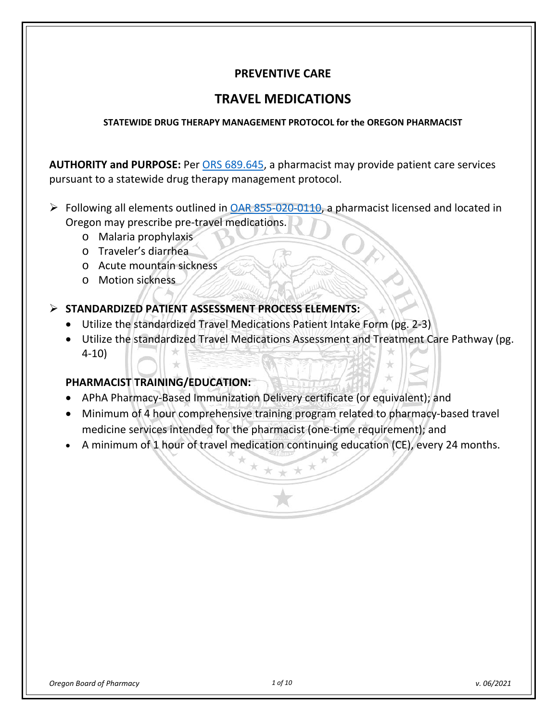# **PREVENTIVE CARE**

# **TRAVEL MEDICATIONS**

#### **STATEWIDE DRUG THERAPY MANAGEMENT PROTOCOL for the OREGON PHARMACIST**

**AUTHORITY and PURPOSE:** Per [ORS 689.645,](https://www.oregonlegislature.gov/bills_laws/ors/ors689.html) a pharmacist may provide patient care services pursuant to a statewide drug therapy management protocol.

- $\triangleright$  Following all elements outlined in [OAR 855-020-0110,](https://secure.sos.state.or.us/oard/viewSingleRule.action?ruleVrsnRsn=262657) a pharmacist licensed and located in Oregon may prescribe pre-travel medications.
	- o Malaria prophylaxis
	- o Traveler's diarrhea
	- o Acute mountain sickness
	- o Motion sickness

### **STANDARDIZED PATIENT ASSESSMENT PROCESS ELEMENTS:**

- Utilize the standardized Travel Medications Patient Intake Form (pg. 2-3)
- Utilize the standardized Travel Medications Assessment and Treatment Care Pathway (pg. 4-10)

### **PHARMACIST TRAINING/EDUCATION:**

- APhA Pharmacy-Based Immunization Delivery certificate (or equivalent); and
- Minimum of 4 hour comprehensive training program related to pharmacy-based travel medicine services intended for the pharmacist (one-time requirement); and
- A minimum of 1 hour of travel medication continuing education (CE), every 24 months.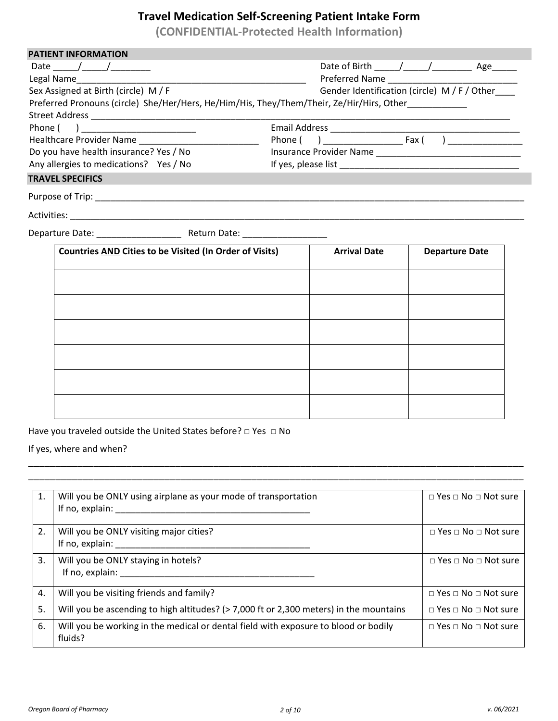# **Travel Medication Self-Screening Patient Intake Form**

**(CONFIDENTIAL-Protected Health Information)**

| <b>PATIENT INFORMATION</b>                                                                |  |                                                 |                       |  |  |
|-------------------------------------------------------------------------------------------|--|-------------------------------------------------|-----------------------|--|--|
| Date $\frac{1}{\sqrt{2}}$                                                                 |  | Date of Birth $\frac{1}{2}$ / $\frac{1}{2}$ Age |                       |  |  |
|                                                                                           |  |                                                 |                       |  |  |
| Sex Assigned at Birth (circle) M/F                                                        |  | Gender Identification (circle) M / F / Other    |                       |  |  |
| Preferred Pronouns (circle) She/Her/Hers, He/Him/His, They/Them/Their, Ze/Hir/Hirs, Other |  |                                                 |                       |  |  |
|                                                                                           |  |                                                 |                       |  |  |
| Phone ( ) __________________________                                                      |  |                                                 |                       |  |  |
|                                                                                           |  |                                                 |                       |  |  |
| Do you have health insurance? Yes / No                                                    |  |                                                 |                       |  |  |
| Any allergies to medications? Yes / No                                                    |  |                                                 |                       |  |  |
| <b>TRAVEL SPECIFICS</b>                                                                   |  |                                                 |                       |  |  |
|                                                                                           |  |                                                 |                       |  |  |
|                                                                                           |  |                                                 |                       |  |  |
|                                                                                           |  |                                                 |                       |  |  |
| <b>Countries AND Cities to be Visited (In Order of Visits)</b>                            |  | <b>Arrival Date</b>                             | <b>Departure Date</b> |  |  |
|                                                                                           |  |                                                 |                       |  |  |
|                                                                                           |  |                                                 |                       |  |  |
|                                                                                           |  |                                                 |                       |  |  |

Have you traveled outside the United States before? □ Yes □ No

If yes, where and when?

| 1. | Will you be ONLY using airplane as your mode of transportation<br>If no, explain:              | $\Box$ Yes $\Box$ No $\Box$ Not sure |
|----|------------------------------------------------------------------------------------------------|--------------------------------------|
| 2. | Will you be ONLY visiting major cities?<br>If no, explain:                                     | $\Box$ Yes $\Box$ No $\Box$ Not sure |
| 3. | Will you be ONLY staying in hotels?<br>If no, explain:                                         | $\Box$ Yes $\Box$ No $\Box$ Not sure |
| 4. | Will you be visiting friends and family?                                                       | $\Box$ Yes $\Box$ No $\Box$ Not sure |
| 5. | Will you be ascending to high altitudes? (> 7,000 ft or 2,300 meters) in the mountains         | $\Box$ Yes $\Box$ No $\Box$ Not sure |
| 6. | Will you be working in the medical or dental field with exposure to blood or bodily<br>fluids? | $\Box$ Yes $\Box$ No $\Box$ Not sure |

\_\_\_\_\_\_\_\_\_\_\_\_\_\_\_\_\_\_\_\_\_\_\_\_\_\_\_\_\_\_\_\_\_\_\_\_\_\_\_\_\_\_\_\_\_\_\_\_\_\_\_\_\_\_\_\_\_\_\_\_\_\_\_\_\_\_\_\_\_\_\_\_\_\_\_\_\_\_\_\_\_\_\_\_\_\_\_\_\_\_\_ \_\_\_\_\_\_\_\_\_\_\_\_\_\_\_\_\_\_\_\_\_\_\_\_\_\_\_\_\_\_\_\_\_\_\_\_\_\_\_\_\_\_\_\_\_\_\_\_\_\_\_\_\_\_\_\_\_\_\_\_\_\_\_\_\_\_\_\_\_\_\_\_\_\_\_\_\_\_\_\_\_\_\_\_\_\_\_\_\_\_\_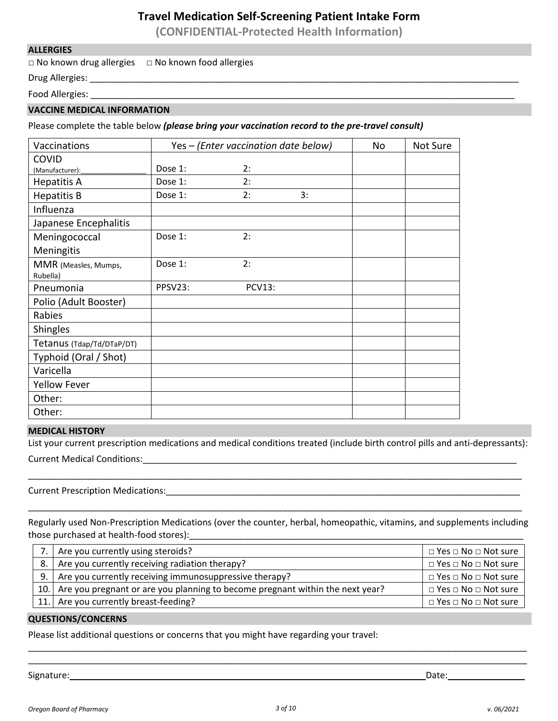### **Travel Medication Self-Screening Patient Intake Form**

**(CONFIDENTIAL-Protected Health Information)**

#### **ALLERGIES**

□ No known drug allergies □ No known food allergies

Drug Allergies: \_\_\_\_\_\_\_\_\_\_\_\_\_\_\_\_\_\_\_\_\_\_\_\_\_\_\_\_\_\_\_\_\_\_\_\_\_\_\_\_\_\_\_\_\_\_\_\_\_\_\_\_\_\_\_\_\_\_\_\_\_\_\_\_\_\_\_\_\_\_\_\_\_\_\_\_\_\_\_\_\_\_\_\_\_\_

Food Allergies: \_\_\_\_\_\_\_\_\_\_\_\_\_\_\_\_\_\_\_\_\_\_\_\_\_\_\_\_\_\_\_\_\_\_\_\_\_\_\_\_\_\_\_\_\_\_\_\_\_\_\_\_\_\_\_\_\_\_\_\_\_\_\_\_\_\_\_\_\_\_\_\_\_\_\_\_\_\_\_\_\_\_\_\_\_

#### **VACCINE MEDICAL INFORMATION**

Please complete the table below *(please bring your vaccination record to the pre-travel consult)*

| Vaccinations              | Yes - (Enter vaccination date below) |               |    | No | Not Sure |
|---------------------------|--------------------------------------|---------------|----|----|----------|
| <b>COVID</b>              |                                      |               |    |    |          |
| (Manufacturer):           | Dose 1:                              | 2:            |    |    |          |
| <b>Hepatitis A</b>        | Dose 1:                              | 2:            |    |    |          |
| <b>Hepatitis B</b>        | Dose 1:                              | 2:            | 3: |    |          |
| Influenza                 |                                      |               |    |    |          |
| Japanese Encephalitis     |                                      |               |    |    |          |
| Meningococcal             | Dose 1:                              | 2:            |    |    |          |
| Meningitis                |                                      |               |    |    |          |
| MMR (Measles, Mumps,      | Dose 1:                              | 2:            |    |    |          |
| Rubella)                  |                                      |               |    |    |          |
| Pneumonia                 | PPSV23:                              | <b>PCV13:</b> |    |    |          |
| Polio (Adult Booster)     |                                      |               |    |    |          |
| Rabies                    |                                      |               |    |    |          |
| Shingles                  |                                      |               |    |    |          |
| Tetanus (Tdap/Td/DTaP/DT) |                                      |               |    |    |          |
| Typhoid (Oral / Shot)     |                                      |               |    |    |          |
| Varicella                 |                                      |               |    |    |          |
| <b>Yellow Fever</b>       |                                      |               |    |    |          |
| Other:                    |                                      |               |    |    |          |
| Other:                    |                                      |               |    |    |          |

#### **MEDICAL HISTORY**

List your current prescription medications and medical conditions treated (include birth control pills and anti-depressants): Current Medical Conditions:\_\_\_\_\_\_\_\_\_\_\_\_\_\_\_\_\_\_\_\_\_\_\_\_\_\_\_\_\_\_\_\_\_\_\_\_\_\_\_\_\_\_\_\_\_\_\_\_\_\_\_\_\_\_\_\_\_\_\_\_\_\_\_\_\_\_\_\_\_\_\_\_\_\_\_

Current Prescription Medications:\_\_\_\_\_\_\_\_\_\_\_\_\_\_\_\_\_\_\_\_\_\_\_\_\_\_\_\_\_\_\_\_\_\_\_\_\_\_\_\_\_\_\_\_\_\_\_\_\_\_\_\_\_\_\_\_\_\_\_\_\_\_\_\_\_\_\_\_\_\_\_

Regularly used Non-Prescription Medications (over the counter, herbal, homeopathic, vitamins, and supplements including those purchased at health-food stores):\_\_\_\_\_\_\_\_\_\_\_\_\_\_\_\_\_\_\_\_\_\_\_\_\_\_\_\_\_\_\_\_\_\_\_\_\_\_\_\_\_\_\_\_\_\_\_\_\_\_\_\_\_\_\_\_\_\_\_\_\_\_\_\_\_\_\_

\_\_\_\_\_\_\_\_\_\_\_\_\_\_\_\_\_\_\_\_\_\_\_\_\_\_\_\_\_\_\_\_\_\_\_\_\_\_\_\_\_\_\_\_\_\_\_\_\_\_\_\_\_\_\_\_\_\_\_\_\_\_\_\_\_\_\_\_\_\_\_\_\_\_\_\_\_\_\_\_\_\_\_\_\_\_\_\_\_\_\_\_\_\_\_\_\_\_\_

| 7. Are you currently using steroids?                                              | $\Box$ Yes $\Box$ No $\Box$ Not sure |
|-----------------------------------------------------------------------------------|--------------------------------------|
| 8. Are you currently receiving radiation therapy?                                 | $\Box$ Yes $\Box$ No $\Box$ Not sure |
| 9.   Are you currently receiving immunosuppressive therapy?                       | $\Box$ Yes $\Box$ No $\Box$ Not sure |
| 10. Are you pregnant or are you planning to become pregnant within the next year? | $\Box$ Yes $\Box$ No $\Box$ Not sure |
| 11. Are you currently breast-feeding?                                             | $\Box$ Yes $\Box$ No $\Box$ Not sure |

\_\_\_\_\_\_\_\_\_\_\_\_\_\_\_\_\_\_\_\_\_\_\_\_\_\_\_\_\_\_\_\_\_\_\_\_\_\_\_\_\_\_\_\_\_\_\_\_\_\_\_\_\_\_\_\_\_\_\_\_\_\_\_\_\_\_\_\_\_\_\_\_\_\_\_\_\_\_\_\_\_\_\_\_\_\_\_\_\_\_\_\_\_\_\_\_\_\_\_\_ \_\_\_\_\_\_\_\_\_\_\_\_\_\_\_\_\_\_\_\_\_\_\_\_\_\_\_\_\_\_\_\_\_\_\_\_\_\_\_\_\_\_\_\_\_\_\_\_\_\_\_\_\_\_\_\_\_\_\_\_\_\_\_\_\_\_\_\_\_\_\_\_\_\_\_\_\_\_\_\_\_\_\_\_\_\_\_\_\_\_\_\_\_\_\_\_\_\_\_\_

#### **QUESTIONS/CONCERNS**

Please list additional questions or concerns that you might have regarding your travel:

Signature: \_\_\_\_\_\_\_\_\_\_\_\_\_\_\_\_\_\_\_\_\_\_\_\_\_\_\_\_\_\_\_\_\_\_\_\_\_\_\_\_\_\_\_\_\_\_\_\_\_\_\_\_\_\_\_\_\_\_\_\_\_\_\_\_\_\_\_\_\_\_ Date: \_\_\_\_\_\_\_\_\_\_\_\_\_\_\_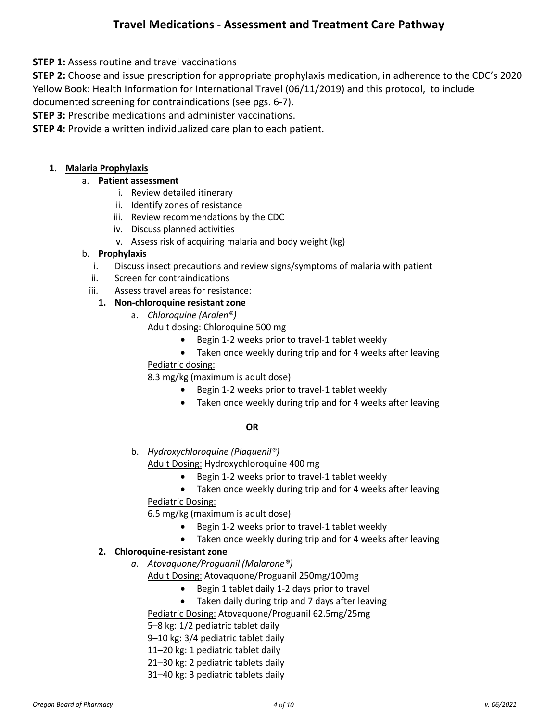**STEP 1:** Assess routine and travel vaccinations

**STEP 2:** Choose and issue prescription for appropriate prophylaxis medication, in adherence to the CDC's 2020 Yellow Book: Health Information for International Travel (06/11/2019) and this protocol, to include

documented screening for contraindications (see pgs. 6-7).

**STEP 3:** Prescribe medications and administer vaccinations.

**STEP 4:** Provide a written individualized care plan to each patient.

#### **1. Malaria Prophylaxis**

#### a. **Patient assessment**

- i. Review detailed itinerary
- ii. Identify zones of resistance
- iii. Review recommendations by the CDC
- iv. Discuss planned activities
- v. Assess risk of acquiring malaria and body weight (kg)

#### b. **Prophylaxis**

- i. Discuss insect precautions and review signs/symptoms of malaria with patient
- ii. Screen for contraindications
- iii. Assess travel areas for resistance:

#### **1. Non-chloroquine resistant zone**

- a. *Chloroquine (Aralen®)*
	- Adult dosing: Chloroquine 500 mg
		- Begin 1-2 weeks prior to travel-1 tablet weekly
		- Taken once weekly during trip and for 4 weeks after leaving

# Pediatric dosing:

8.3 mg/kg (maximum is adult dose)

- Begin 1-2 weeks prior to travel-1 tablet weekly
- Taken once weekly during trip and for 4 weeks after leaving

#### **OR**

b. *Hydroxychloroquine (Plaquenil®)*

Adult Dosing: Hydroxychloroquine 400 mg

- Begin 1-2 weeks prior to travel-1 tablet weekly
- Taken once weekly during trip and for 4 weeks after leaving Pediatric Dosing:

6.5 mg/kg (maximum is adult dose)

- Begin 1-2 weeks prior to travel-1 tablet weekly
- Taken once weekly during trip and for 4 weeks after leaving

#### **2. Chloroquine-resistant zone**

*a. Atovaquone/Proguanil (Malarone®)*

Adult Dosing: Atovaquone/Proguanil 250mg/100mg

- Begin 1 tablet daily 1-2 days prior to travel
- Taken daily during trip and 7 days after leaving

Pediatric Dosing: Atovaquone/Proguanil 62.5mg/25mg

5–8 kg: 1/2 pediatric tablet daily

- 9–10 kg: 3/4 pediatric tablet daily
- 11–20 kg: 1 pediatric tablet daily
- 21–30 kg: 2 pediatric tablets daily
- 31–40 kg: 3 pediatric tablets daily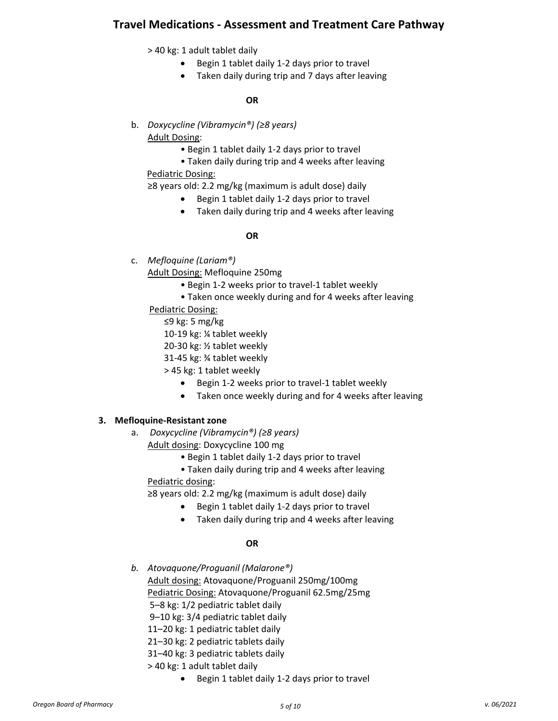> 40 kg: 1 adult tablet daily

- Begin 1 tablet daily 1-2 days prior to travel
- Taken daily during trip and 7 days after leaving

#### **OR**

- b. *Doxycycline (Vibramycin®) (≥8 years)* Adult Dosing:
	- Begin 1 tablet daily 1-2 days prior to travel
	- Taken daily during trip and 4 weeks after leaving

Pediatric Dosing:

≥8 years old: 2.2 mg/kg (maximum is adult dose) daily

- Begin 1 tablet daily 1-2 days prior to travel
- Taken daily during trip and 4 weeks after leaving

#### **OR**

c. *Mefloquine (Lariam®)*

Adult Dosing: Mefloquine 250mg

- Begin 1-2 weeks prior to travel-1 tablet weekly
- Taken once weekly during and for 4 weeks after leaving

Pediatric Dosing:

- ≤9 kg: 5 mg/kg
- 10-19 kg: ¼ tablet weekly
- 20-30 kg: ½ tablet weekly
- 31-45 kg: ¾ tablet weekly
- > 45 kg: 1 tablet weekly
	- Begin 1-2 weeks prior to travel-1 tablet weekly
	- Taken once weekly during and for 4 weeks after leaving

#### **3. Mefloquine-Resistant zone**

a. *Doxycycline (Vibramycin®) (≥8 years)*

Adult dosing: Doxycycline 100 mg

- Begin 1 tablet daily 1-2 days prior to travel
- Taken daily during trip and 4 weeks after leaving

#### Pediatric dosing:

≥8 years old: 2.2 mg/kg (maximum is adult dose) daily

- Begin 1 tablet daily 1-2 days prior to travel
- Taken daily during trip and 4 weeks after leaving

#### **OR**

*b. Atovaquone/Proguanil (Malarone®)* Adult dosing: Atovaquone/Proguanil 250mg/100mg Pediatric Dosing: Atovaquone/Proguanil 62.5mg/25mg 5–8 kg: 1/2 pediatric tablet daily

9–10 kg: 3/4 pediatric tablet daily

- 11–20 kg: 1 pediatric tablet daily
- 21–30 kg: 2 pediatric tablets daily
- 31–40 kg: 3 pediatric tablets daily
- > 40 kg: 1 adult tablet daily
	- Begin 1 tablet daily 1-2 days prior to travel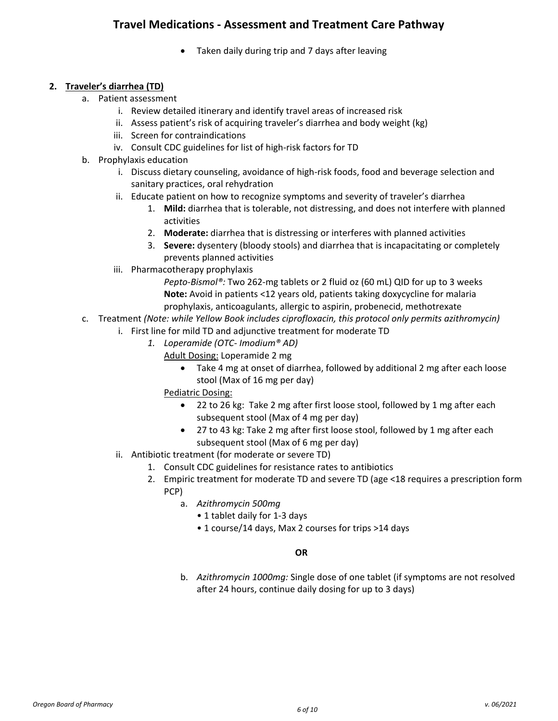• Taken daily during trip and 7 days after leaving

#### **2. Traveler's diarrhea (TD)**

- a. Patient assessment
	- i. Review detailed itinerary and identify travel areas of increased risk
	- ii. Assess patient's risk of acquiring traveler's diarrhea and body weight (kg)
	- iii. Screen for contraindications
	- iv. Consult CDC guidelines for list of high-risk factors for TD
- b. Prophylaxis education
	- i. Discuss dietary counseling, avoidance of high-risk foods, food and beverage selection and sanitary practices, oral rehydration
	- ii. Educate patient on how to recognize symptoms and severity of traveler's diarrhea
		- 1. **Mild:** diarrhea that is tolerable, not distressing, and does not interfere with planned activities
		- 2. **Moderate:** diarrhea that is distressing or interferes with planned activities
		- 3. **Severe:** dysentery (bloody stools) and diarrhea that is incapacitating or completely prevents planned activities
	- iii. Pharmacotherapy prophylaxis

*Pepto-Bismol®:* Two 262-mg tablets or 2 fluid oz (60 mL) QID for up to 3 weeks **Note:** Avoid in patients <12 years old, patients taking doxycycline for malaria prophylaxis, anticoagulants, allergic to aspirin, probenecid, methotrexate

- c. Treatment *(Note: while Yellow Book includes ciprofloxacin, this protocol only permits azithromycin)*
	- i. First line for mild TD and adjunctive treatment for moderate TD
		- *1. Loperamide (OTC- Imodium® AD)*
			- Adult Dosing: Loperamide 2 mg
				- Take 4 mg at onset of diarrhea, followed by additional 2 mg after each loose stool (Max of 16 mg per day)

Pediatric Dosing:

- 22 to 26 kg: Take 2 mg after first loose stool, followed by 1 mg after each subsequent stool (Max of 4 mg per day)
- 27 to 43 kg: Take 2 mg after first loose stool, followed by 1 mg after each subsequent stool (Max of 6 mg per day)
- ii. Antibiotic treatment (for moderate or severe TD)
	- 1. Consult CDC guidelines for resistance rates to antibiotics
	- 2. Empiric treatment for moderate TD and severe TD (age <18 requires a prescription form PCP)
		- a. *Azithromycin 500mg*
			- 1 tablet daily for 1-3 days
			- 1 course/14 days, Max 2 courses for trips >14 days

#### **OR**

b. *Azithromycin 1000mg:* Single dose of one tablet (if symptoms are not resolved after 24 hours, continue daily dosing for up to 3 days)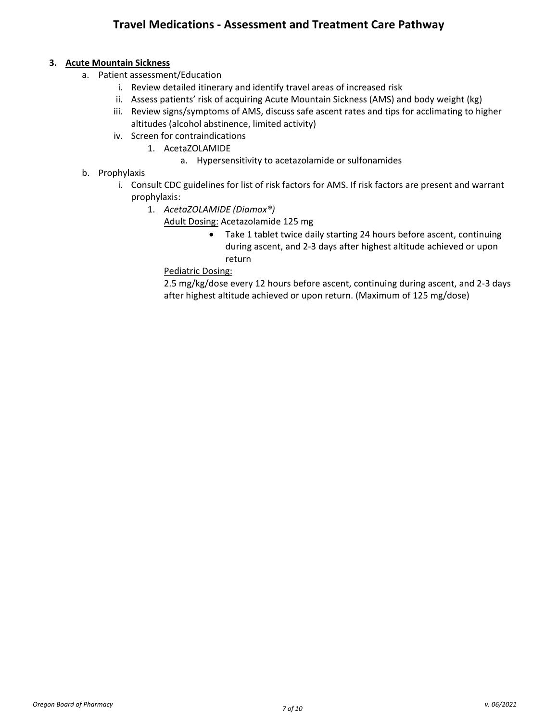#### **3. Acute Mountain Sickness**

- a. Patient assessment/Education
	- i. Review detailed itinerary and identify travel areas of increased risk
	- ii. Assess patients' risk of acquiring Acute Mountain Sickness (AMS) and body weight (kg)
	- iii. Review signs/symptoms of AMS, discuss safe ascent rates and tips for acclimating to higher altitudes (alcohol abstinence, limited activity)
	- iv. Screen for contraindications
		- 1. AcetaZOLAMIDE
			- a. Hypersensitivity to acetazolamide or sulfonamides
- b. Prophylaxis
	- i. Consult CDC guidelines for list of risk factors for AMS. If risk factors are present and warrant prophylaxis:
		- 1. *AcetaZOLAMIDE (Diamox®)*
			- Adult Dosing: Acetazolamide 125 mg
				- Take 1 tablet twice daily starting 24 hours before ascent, continuing during ascent, and 2-3 days after highest altitude achieved or upon return

Pediatric Dosing:

2.5 mg/kg/dose every 12 hours before ascent, continuing during ascent, and 2-3 days after highest altitude achieved or upon return. (Maximum of 125 mg/dose)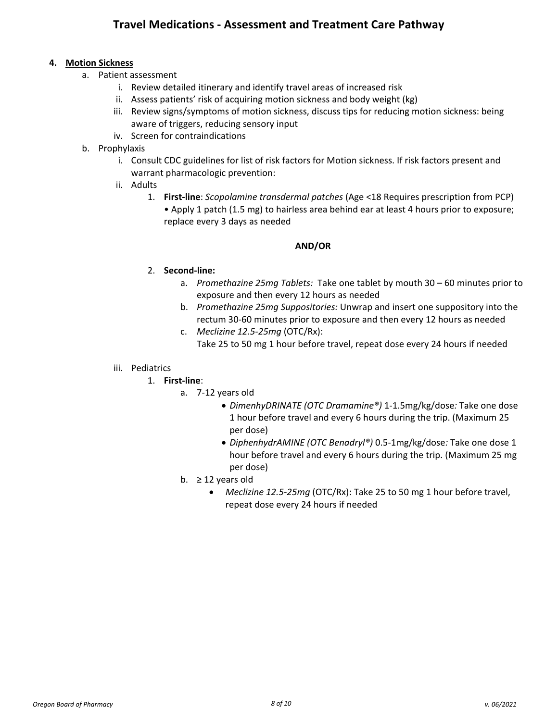#### **4. Motion Sickness**

- a. Patient assessment
	- i. Review detailed itinerary and identify travel areas of increased risk
	- ii. Assess patients' risk of acquiring motion sickness and body weight (kg)
	- iii. Review signs/symptoms of motion sickness, discuss tips for reducing motion sickness: being aware of triggers, reducing sensory input
	- iv. Screen for contraindications
- b. Prophylaxis
	- i. Consult CDC guidelines for list of risk factors for Motion sickness. If risk factors present and warrant pharmacologic prevention:
	- ii. Adults
		- 1. **First-line**: *Scopolamine transdermal patches* (Age <18 Requires prescription from PCP) • Apply 1 patch (1.5 mg) to hairless area behind ear at least 4 hours prior to exposure; replace every 3 days as needed

#### **AND/OR**

#### 2. **Second-line:**

- a. *Promethazine 25mg Tablets:* Take one tablet by mouth 30 60 minutes prior to exposure and then every 12 hours as needed
- b. *Promethazine 25mg Suppositories:* Unwrap and insert one suppository into the rectum 30-60 minutes prior to exposure and then every 12 hours as needed
- c. *Meclizine 12.5-25mg* (OTC/Rx): Take 25 to 50 mg 1 hour before travel, repeat dose every 24 hours if needed

#### iii. Pediatrics

- 1. **First-line**:
	- a. 7-12 years old
		- *DimenhyDRINATE (OTC Dramamine®)* 1-1.5mg/kg/dose*:* Take one dose 1 hour before travel and every 6 hours during the trip. (Maximum 25 per dose)
		- *DiphenhydrAMINE (OTC Benadryl®)* 0.5-1mg/kg/dose*:* Take one dose 1 hour before travel and every 6 hours during the trip. (Maximum 25 mg per dose)
	- b.  $\geq$  12 years old
		- *Meclizine 12.5-25mg* (OTC/Rx): Take 25 to 50 mg 1 hour before travel, repeat dose every 24 hours if needed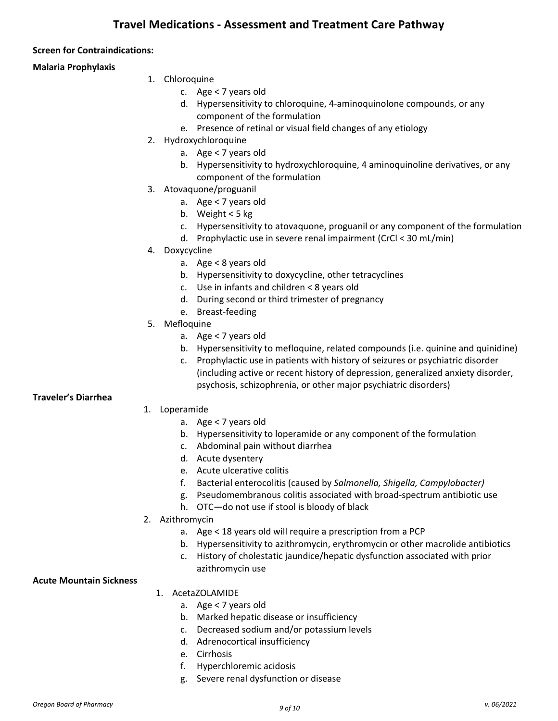#### **Screen for Contraindications:**

#### **Malaria Prophylaxis**

- 1. Chloroquine
	- c. Age < 7 years old
	- d. Hypersensitivity to chloroquine, 4-aminoquinolone compounds, or any component of the formulation
	- e. Presence of retinal or visual field changes of any etiology
- 2. Hydroxychloroquine
	- a. Age < 7 years old
	- b. Hypersensitivity to hydroxychloroquine, 4 aminoquinoline derivatives, or any component of the formulation
- 3. Atovaquone/proguanil
	- a. Age < 7 years old
	- b. Weight < 5 kg
	- c. Hypersensitivity to atovaquone, proguanil or any component of the formulation
	- d. Prophylactic use in severe renal impairment (CrCl < 30 mL/min)
- 4. Doxycycline
	- a. Age < 8 years old
	- b. Hypersensitivity to doxycycline, other tetracyclines
	- c. Use in infants and children < 8 years old
	- d. During second or third trimester of pregnancy
	- e. Breast-feeding
- 5. Mefloquine
	- a. Age < 7 years old
	- b. Hypersensitivity to mefloquine, related compounds (i.e. quinine and quinidine)
	- c. Prophylactic use in patients with history of seizures or psychiatric disorder (including active or recent history of depression, generalized anxiety disorder, psychosis, schizophrenia, or other major psychiatric disorders)

#### **Traveler's Diarrhea**

- 1. Loperamide
	- a. Age < 7 years old
	- b. Hypersensitivity to loperamide or any component of the formulation
	- c. Abdominal pain without diarrhea
	- d. Acute dysentery
	- e. Acute ulcerative colitis
	- f. Bacterial enterocolitis (caused by *Salmonella, Shigella, Campylobacter)*
	- g. Pseudomembranous colitis associated with broad-spectrum antibiotic use
	- h. OTC—do not use if stool is bloody of black
- 2. Azithromycin
	- a. Age < 18 years old will require a prescription from a PCP
	- b. Hypersensitivity to azithromycin, erythromycin or other macrolide antibiotics
	- c. History of cholestatic jaundice/hepatic dysfunction associated with prior azithromycin use

#### **Acute Mountain Sickness**

- 1. AcetaZOLAMIDE
	- a. Age < 7 years old
	- b. Marked hepatic disease or insufficiency
	- c. Decreased sodium and/or potassium levels
	- d. Adrenocortical insufficiency
	- e. Cirrhosis
	- f. Hyperchloremic acidosis
	- g. Severe renal dysfunction or disease